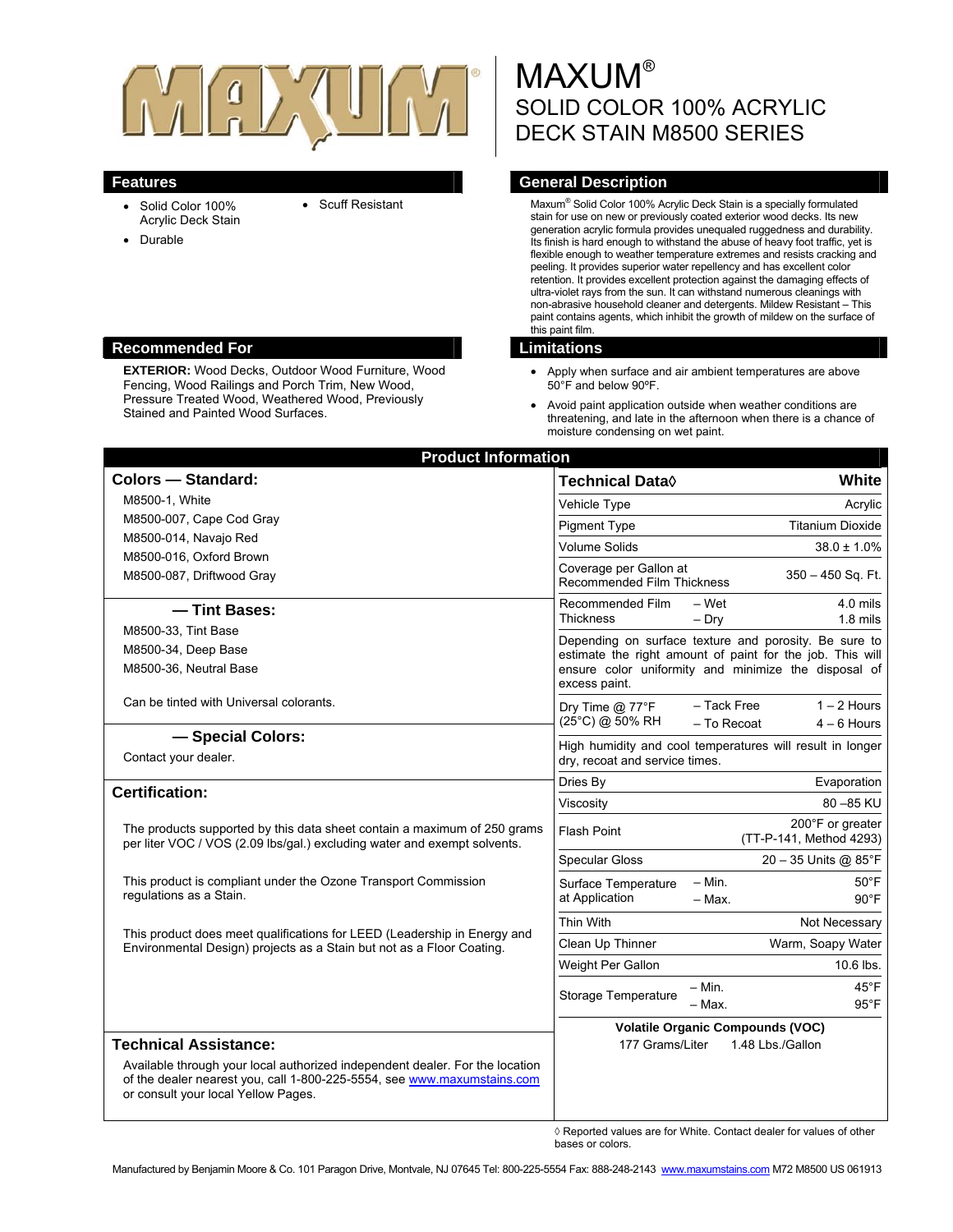

- $\bullet$  Scuff Resistant
- Solid Color 100% Acrylic Deck Stain
- Durable

#### **Recommended For Limitations Limitations**

**EXTERIOR:** Wood Decks, Outdoor Wood Furniture, Wood Fencing, Wood Railings and Porch Trim, New Wood, Pressure Treated Wood, Weathered Wood, Previously Stained and Painted Wood Surfaces.

# **MAXUM®** SOLID COLOR 100% ACRYLIC DECK STAIN M8500 SERIES

## **Features General Description**

Maxum® Solid Color 100% Acrylic Deck Stain is a specially formulated stain for use on new or previously coated exterior wood decks. Its new generation acrylic formula provides unequaled ruggedness and durability. Its finish is hard enough to withstand the abuse of heavy foot traffic, yet is flexible enough to weather temperature extremes and resists cracking and peeling. It provides superior water repellency and has excellent color retention. It provides excellent protection against the damaging effects of ultra-violet rays from the sun. It can withstand numerous cleanings with non-abrasive household cleaner and detergents. Mildew Resistant – This paint contains agents, which inhibit the growth of mildew on the surface of this paint film.

- Apply when surface and air ambient temperatures are above 50°F and below 90ºF.
- Avoid paint application outside when weather conditions are threatening, and late in the afternoon when there is a chance of moisture condensing on wet paint.

| <b>Colors - Standard:</b>                                                                                                                                                                      | Technical Data $\Diamond$<br><b>White</b>                                                                                                                                                   |
|------------------------------------------------------------------------------------------------------------------------------------------------------------------------------------------------|---------------------------------------------------------------------------------------------------------------------------------------------------------------------------------------------|
| M8500-1, White                                                                                                                                                                                 | Vehicle Type<br>Acrylic                                                                                                                                                                     |
| M8500-007, Cape Cod Gray                                                                                                                                                                       | <b>Titanium Dioxide</b><br><b>Pigment Type</b>                                                                                                                                              |
| M8500-014, Navajo Red                                                                                                                                                                          | <b>Volume Solids</b><br>$38.0 \pm 1.0\%$                                                                                                                                                    |
| M8500-016, Oxford Brown<br>M8500-087, Driftwood Gray                                                                                                                                           | Coverage per Gallon at<br>$350 - 450$ Sq. Ft.<br>Recommended Film Thickness                                                                                                                 |
| - Tint Bases:                                                                                                                                                                                  | Recommended Film<br>– Wet<br>4.0 mils<br><b>Thickness</b><br>$-$ Dry<br>$1.8$ mils                                                                                                          |
| M8500-33, Tint Base<br>M8500-34, Deep Base<br>M8500-36, Neutral Base                                                                                                                           | Depending on surface texture and porosity. Be sure to<br>estimate the right amount of paint for the job. This will<br>ensure color uniformity and minimize the disposal of<br>excess paint. |
| Can be tinted with Universal colorants.                                                                                                                                                        | $1 - 2$ Hours<br>- Tack Free<br>Dry Time @ 77°F<br>(25°C) @ 50% RH<br>- To Recoat<br>$4 - 6$ Hours                                                                                          |
| - Special Colors:<br>Contact your dealer.                                                                                                                                                      | High humidity and cool temperatures will result in longer<br>dry, recoat and service times.                                                                                                 |
| <b>Certification:</b>                                                                                                                                                                          | Dries By<br>Evaporation                                                                                                                                                                     |
|                                                                                                                                                                                                | 80 - 85 KU<br>Viscosity                                                                                                                                                                     |
| The products supported by this data sheet contain a maximum of 250 grams<br>per liter VOC / VOS (2.09 lbs/gal.) excluding water and exempt solvents.                                           | 200°F or greater<br><b>Flash Point</b><br>(TT-P-141, Method 4293)                                                                                                                           |
|                                                                                                                                                                                                | 20 - 35 Units @ 85°F<br><b>Specular Gloss</b>                                                                                                                                               |
| This product is compliant under the Ozone Transport Commission<br>regulations as a Stain.                                                                                                      | $- Min.$<br>$50^{\circ}$ F<br>Surface Temperature<br>at Application<br>- Max.<br>$90^{\circ}$ F                                                                                             |
|                                                                                                                                                                                                | Thin With<br>Not Necessary                                                                                                                                                                  |
| This product does meet qualifications for LEED (Leadership in Energy and<br>Environmental Design) projects as a Stain but not as a Floor Coating.                                              | Clean Up Thinner<br>Warm, Soapy Water                                                                                                                                                       |
|                                                                                                                                                                                                | Weight Per Gallon<br>10.6 lbs.                                                                                                                                                              |
|                                                                                                                                                                                                | $- Min.$<br>$45^{\circ}$ F<br>Storage Temperature<br>$95^{\circ}$ F<br>- Max.                                                                                                               |
|                                                                                                                                                                                                | <b>Volatile Organic Compounds (VOC)</b>                                                                                                                                                     |
| <b>Technical Assistance:</b>                                                                                                                                                                   | 177 Grams/Liter<br>1.48 Lbs./Gallon                                                                                                                                                         |
| Available through your local authorized independent dealer. For the location<br>of the dealer nearest you, call 1-800-225-5554, see www.maxumstains.com<br>or consult your local Yellow Pages. |                                                                                                                                                                                             |

◊ Reported values are for White. Contact dealer for values of other bases or colors.